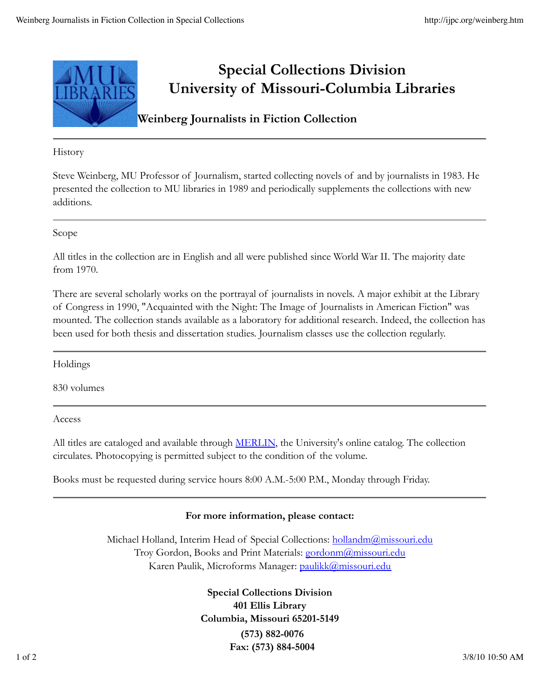

## **Special Collections Division University of Missouri-Columbia Libraries**

## **Weinberg Journalists in Fiction Collection**

History

Steve Weinberg, MU Professor of Journalism, started collecting novels of and by journalists in 1983. He presented the collection to MU libraries in 1989 and periodically supplements the collections with new additions.

Scope

All titles in the collection are in English and all were published since World War II. The majority date from 1970.

There are several scholarly works on the portrayal of journalists in novels. A major exhibit at the Library of Congress in 1990, "Acquainted with the Night: The Image of Journalists in American Fiction" was mounted. The collection stands available as a laboratory for additional research. Indeed, the collection has been used for both thesis and dissertation studies. Journalism classes use the collection regularly.

Holdings

830 volumes

Access

All titles are cataloged and available through <u>MERLIN</u>, the University's online catalog. The collection circulates. Photocopying is permitted subject to the condition of the volume.

Books must be requested during service hours 8:00 A.M.-5:00 P.M., Monday through Friday.

## **For more information, please contact:**

Michael Holland, Interim Head of Special Collections: hollandm@missouri.edu Troy Gordon, Books and Print Materials: gordonm@missouri.edu Karen Paulik, Microforms Manager: paulikk@missouri.edu

> **Special Collections Division 401 Ellis Library Columbia, Missouri 65201-5149 (573) 882-0076 Fax: (573) 884-5004**